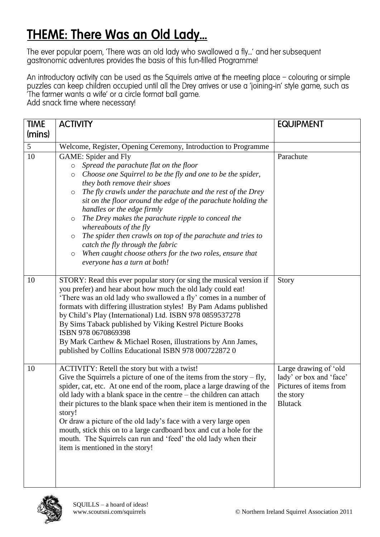## THEME: There Was an Old Lady...

The ever popular poem, 'There was an old lady who swallowed a fly...' and her subsequent gastronomic adventures provides the basis of this fun-filled Programme!

An introductory activity can be used as the Squirrels arrive at the meeting place - colouring or simple puzzles can keep children occupied until all the Drey arrives or use a 'joining-in' style game, such as The farmer wants a wife' or a circle format ball game.

Add snack time where necessary!

| <b>TIME</b> | <b>ACTIVITY</b>                                                                                                                                                                                                                                                                                                                                                                                                                                                                                                                                                                                                                                                        | <b>EQUIPMENT</b>                                                                                          |
|-------------|------------------------------------------------------------------------------------------------------------------------------------------------------------------------------------------------------------------------------------------------------------------------------------------------------------------------------------------------------------------------------------------------------------------------------------------------------------------------------------------------------------------------------------------------------------------------------------------------------------------------------------------------------------------------|-----------------------------------------------------------------------------------------------------------|
| (mins)      |                                                                                                                                                                                                                                                                                                                                                                                                                                                                                                                                                                                                                                                                        |                                                                                                           |
| 5           | Welcome, Register, Opening Ceremony, Introduction to Programme                                                                                                                                                                                                                                                                                                                                                                                                                                                                                                                                                                                                         |                                                                                                           |
| 10          | GAME: Spider and Fly<br>Spread the parachute flat on the floor<br>$\circ$<br>Choose one Squirrel to be the fly and one to be the spider,<br>O<br>they both remove their shoes<br>The fly crawls under the parachute and the rest of the Drey<br>$\circ$<br>sit on the floor around the edge of the parachute holding the<br>handles or the edge firmly<br>The Drey makes the parachute ripple to conceal the<br>$\circ$<br>whereabouts of the fly<br>The spider then crawls on top of the parachute and tries to<br>$\circ$<br>catch the fly through the fabric<br>When caught choose others for the two roles, ensure that<br>$\circ$<br>everyone has a turn at both! | Parachute                                                                                                 |
| 10          | STORY: Read this ever popular story (or sing the musical version if<br>you prefer) and hear about how much the old lady could eat!<br>'There was an old lady who swallowed a fly' comes in a number of<br>formats with differing illustration styles! By Pam Adams published<br>by Child's Play (International) Ltd. ISBN 978 0859537278<br>By Sims Taback published by Viking Kestrel Picture Books<br>ISBN 978 0670869398<br>By Mark Carthew & Michael Rosen, illustrations by Ann James,<br>published by Collins Educational ISBN 978 000722872 0                                                                                                                   | Story                                                                                                     |
| 10          | ACTIVITY: Retell the story but with a twist!<br>Give the Squirrels a picture of one of the items from the story $- fly$ ,<br>spider, cat, etc. At one end of the room, place a large drawing of the<br>old lady with a blank space in the centre – the children can attach<br>their pictures to the blank space when their item is mentioned in the<br>story!<br>Or draw a picture of the old lady's face with a very large open<br>mouth, stick this on to a large cardboard box and cut a hole for the<br>mouth. The Squirrels can run and 'feed' the old lady when their<br>item is mentioned in the story!                                                         | Large drawing of 'old<br>lady' or box and 'face'<br>Pictures of items from<br>the story<br><b>Blutack</b> |